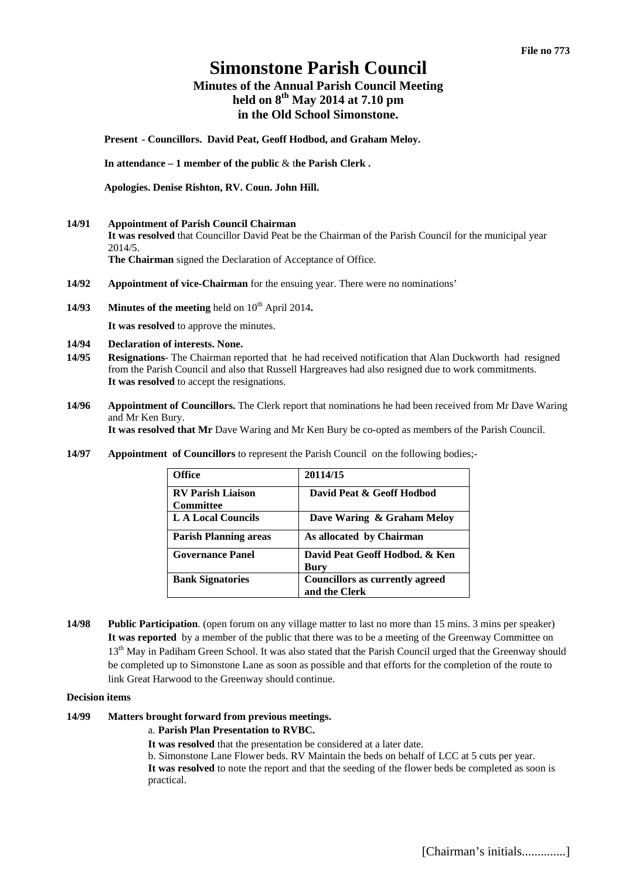# **Simonstone Parish Council**

## **Minutes of the Annual Parish Council Meeting held on 8th May 2014 at 7.10 pm in the Old School Simonstone.**

**Present - Councillors. David Peat, Geoff Hodbod, and Graham Meloy.** 

**In attendance – 1 member of the public** & t**he Parish Clerk .** 

**Apologies. Denise Rishton, RV. Coun. John Hill.** 

**14/91 Appointment of Parish Council Chairman**

**It was resolved** that Councillor David Peat be the Chairman of the Parish Council for the municipal year 2014/5.

**The Chairman** signed the Declaration of Acceptance of Office.

- **14/92 Appointment of vice-Chairman** for the ensuing year. There were no nominations'
- **14/93 Minutes of the meeting** held on  $10^{th}$  April 2014.

**It was resolved** to approve the minutes.

- **14/94 Declaration of interests. None.**
- **14/95 Resignations** The Chairman reported that he had received notification that Alan Duckworth had resigned from the Parish Council and also that Russell Hargreaves had also resigned due to work commitments. **It was resolved** to accept the resignations.
- **14/96 Appointment of Councillors.** The Clerk report that nominations he had been received from Mr Dave Waring and Mr Ken Bury.

**It was resolved that Mr** Dave Waring and Mr Ken Bury be co-opted as members of the Parish Council.

**14/97 Appointment of Councillors** to represent the Parish Council on the following bodies;-

| <b>Office</b>                                | 20114/15                                                |
|----------------------------------------------|---------------------------------------------------------|
| <b>RV Parish Liaison</b><br><b>Committee</b> | David Peat & Geoff Hodbod                               |
| <b>LA Local Councils</b>                     | Dave Waring & Graham Meloy                              |
| <b>Parish Planning areas</b>                 | As allocated by Chairman                                |
| <b>Governance Panel</b>                      | David Peat Geoff Hodbod. & Ken<br>Bury                  |
| <b>Bank Signatories</b>                      | <b>Councillors as currently agreed</b><br>and the Clerk |

**14/98 Public Participation**. (open forum on any village matter to last no more than 15 mins. 3 mins per speaker) **It was reported** by a member of the public that there was to be a meeting of the Greenway Committee on 13<sup>th</sup> May in Padiham Green School. It was also stated that the Parish Council urged that the Greenway should be completed up to Simonstone Lane as soon as possible and that efforts for the completion of the route to link Great Harwood to the Greenway should continue.

#### **Decision items**

## **14/99 Matters brought forward from previous meetings.**

#### a. **Parish Plan Presentation to RVBC.**

**It was resolved** that the presentation be considered at a later date.

b. Simonstone Lane Flower beds. RV Maintain the beds on behalf of LCC at 5 cuts per year.

**It was resolved** to note the report and that the seeding of the flower beds be completed as soon is practical.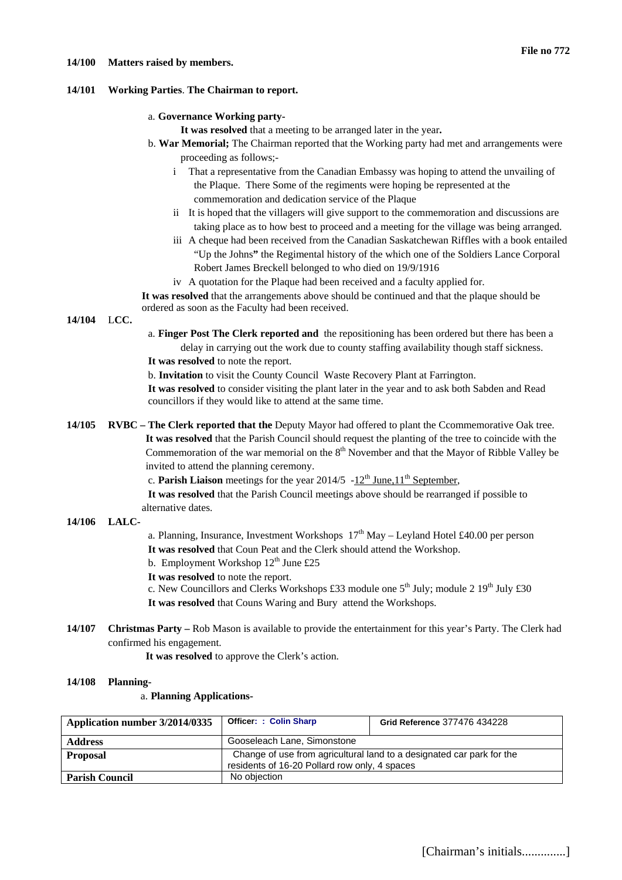#### **14/100 Matters raised by members.**

### **14/101 Working Parties**. **The Chairman to report.**

### a. **Governance Working party-**

**It was resolved** that a meeting to be arranged later in the year**.** 

- b. **War Memorial;** The Chairman reported that the Working party had met and arrangements were proceeding as follows;
	- i That a representative from the Canadian Embassy was hoping to attend the unvailing of the Plaque. There Some of the regiments were hoping be represented at the commemoration and dedication service of the Plaque
	- ii It is hoped that the villagers will give support to the commemoration and discussions are taking place as to how best to proceed and a meeting for the village was being arranged.
	- iii A cheque had been received from the Canadian Saskatchewan Riffles with a book entailed "Up the Johns**"** the Regimental history of the which one of the Soldiers Lance Corporal Robert James Breckell belonged to who died on 19/9/1916
	- iv A quotation for the Plaque had been received and a faculty applied for.

**It was resolved** that the arrangements above should be continued and that the plaque should be ordered as soon as the Faculty had been received.

**14/104** L**CC.** 

- a. **Finger Post The Clerk reported and** the repositioning has been ordered but there has been a delay in carrying out the work due to county staffing availability though staff sickness. **It was resolved** to note the report.
- b. **Invitation** to visit the County Council Waste Recovery Plant at Farrington.

**It was resolved** to consider visiting the plant later in the year and to ask both Sabden and Read councillors if they would like to attend at the same time.

- **14/105 RVBC The Clerk reported that the** Deputy Mayor had offered to plant the Ccommemorative Oak tree. **It was resolved** that the Parish Council should request the planting of the tree to coincide with the Commemoration of the war memorial on the  $8<sup>th</sup>$  November and that the Mayor of Ribble Valley be invited to attend the planning ceremony.
	- c. **Parish Liaison** meetings for the year 2014/5  $-12^{th}$  June,  $11^{th}$  September,
	- **It was resolved** that the Parish Council meetings above should be rearranged if possible to alternative dates.

## **14/106 LALC-**

- a. Planning, Insurance, Investment Workshops  $17<sup>th</sup>$  May Leyland Hotel £40.00 per person **It was resolved** that Coun Peat and the Clerk should attend the Workshop.
- b. Employment Workshop  $12<sup>th</sup>$  June £25
- **It was resolved** to note the report.
- c. New Councillors and Clerks Workshops £33 module one  $5<sup>th</sup>$  July; module 2  $19<sup>th</sup>$  July £30
- **It was resolved** that Couns Waring and Bury attend the Workshops.
- **14/107 Christmas Party** Rob Mason is available to provide the entertainment for this year's Party. The Clerk had confirmed his engagement.

**It was resolved** to approve the Clerk's action.

## **14/108 Planning-**

## a. **Planning Applications-**

| Application number 3/2014/0335 | <b>Officer: : Colin Sharp</b>                                                                                          | Grid Reference 377476 434228 |  |
|--------------------------------|------------------------------------------------------------------------------------------------------------------------|------------------------------|--|
| <b>Address</b>                 | Gooseleach Lane, Simonstone                                                                                            |                              |  |
| <b>Proposal</b>                | Change of use from agricultural land to a designated car park for the<br>residents of 16-20 Pollard row only, 4 spaces |                              |  |
| <b>Parish Council</b>          | No objection                                                                                                           |                              |  |